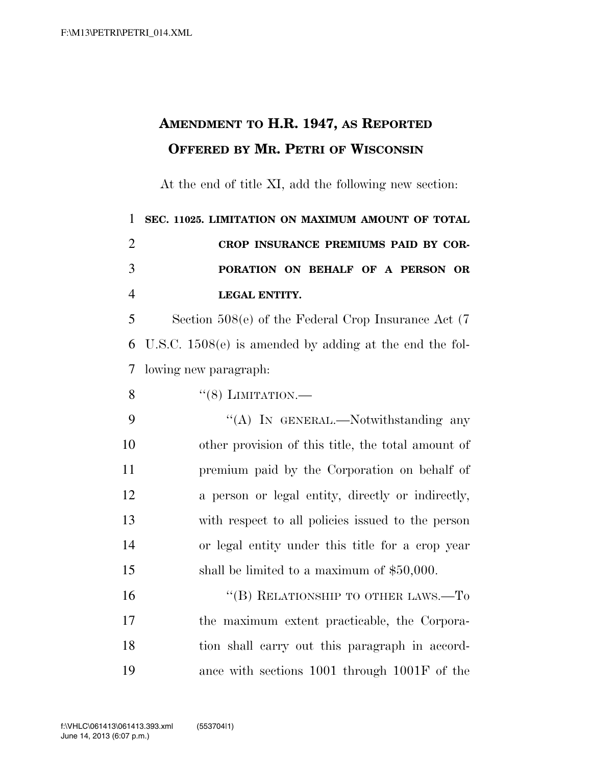## **AMENDMENT TO H.R. 1947, AS REPORTED OFFERED BY MR. PETRI OF WISCONSIN**

At the end of title XI, add the following new section:

 **SEC. 11025. LIMITATION ON MAXIMUM AMOUNT OF TOTAL CROP INSURANCE PREMIUMS PAID BY COR- PORATION ON BEHALF OF A PERSON OR LEGAL ENTITY.** 

 Section 508(e) of the Federal Crop Insurance Act (7 U.S.C. 1508(e) is amended by adding at the end the fol-lowing new paragraph:

8  $((8)$  LIMITATION.

9 "(A) In GENERAL.—Notwithstanding any other provision of this title, the total amount of premium paid by the Corporation on behalf of a person or legal entity, directly or indirectly, with respect to all policies issued to the person or legal entity under this title for a crop year shall be limited to a maximum of \$50,000.

16 "(B) RELATIONSHIP TO OTHER LAWS.—To the maximum extent practicable, the Corpora- tion shall carry out this paragraph in accord-ance with sections 1001 through 1001F of the